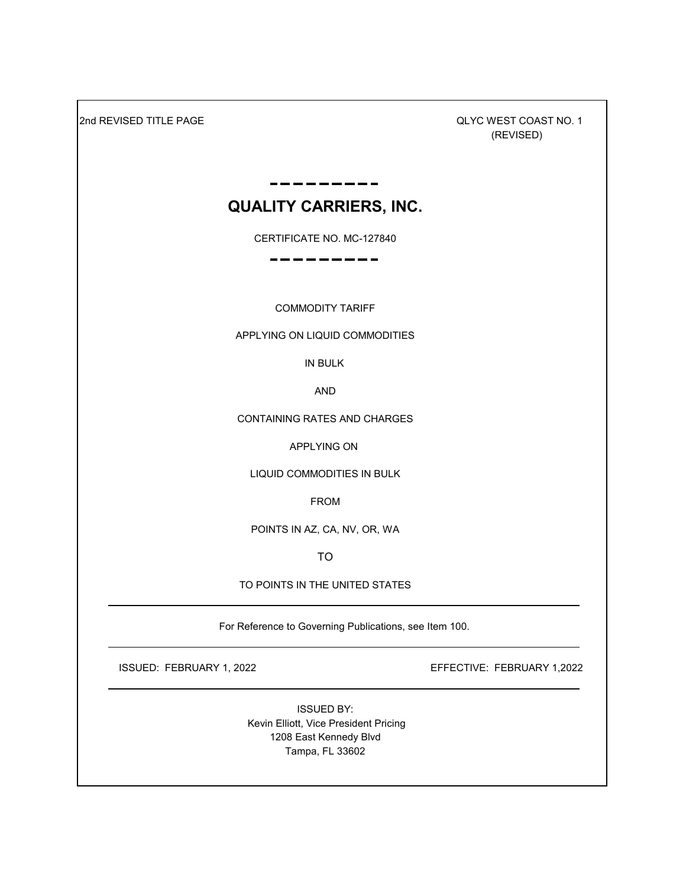2nd REVISED TITLE PAGE

 QLYC WEST COAST NO. 1 (REVISED)

# **QUALITY CARRIERS, INC.**

CERTIFICATE NO. MC-127840

COMMODITY TARIFF

APPLYING ON LIQUID COMMODITIES

IN BULK

AND

CONTAINING RATES AND CHARGES

APPLYING ON

LIQUID COMMODITIES IN BULK

FROM

POINTS IN AZ, CA, NV, OR, WA

TO

TO POINTS IN THE UNITED STATES

For Reference to Governing Publications, see Item 100.

ISSUED: FEBRUARY 1, 2022 EFFECTIVE: FEBRUARY 1,2022

ISSUED BY: Kevin Elliott, Vice President Pricing 1208 East Kennedy Blvd Tampa, FL 33602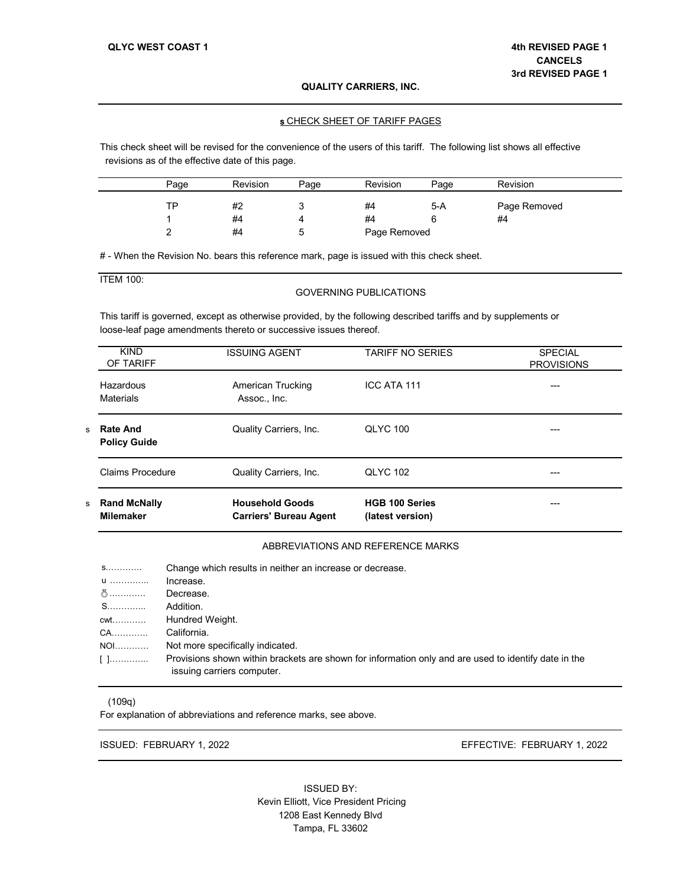#### s CHECK SHEET OF TARIFF PAGES

This check sheet will be revised for the convenience of the users of this tariff. The following list shows all effective revisions as of the effective date of this page.

| Page | <b>Revision</b> | Page | <b>Revision</b> | Page | <b>Revision</b> |
|------|-----------------|------|-----------------|------|-----------------|
| ТP   | #2              |      | #4              | 5-A  | Page Removed    |
|      | #4              |      | #4              |      | #4              |
|      | #4              |      | Page Removed    |      |                 |

# - When the Revision No. bears this reference mark, page is issued with this check sheet.

## ITEM 100:

#### GOVERNING PUBLICATIONS

This tariff is governed, except as otherwise provided, by the following described tariffs and by supplements or loose-leaf page amendments thereto or successive issues thereof.

| s  | <b>Rand McNally</b><br><b>Milemaker</b> | <b>Household Goods</b><br><b>Carriers' Bureau Agent</b> | <b>HGB 100 Series</b><br>(latest version) | ---                                 |
|----|-----------------------------------------|---------------------------------------------------------|-------------------------------------------|-------------------------------------|
|    | Claims Procedure                        | Quality Carriers, Inc.                                  | <b>QLYC 102</b>                           | ---                                 |
| s. | <b>Rate And</b><br><b>Policy Guide</b>  | Quality Carriers, Inc.                                  | <b>QLYC 100</b>                           |                                     |
|    | Hazardous<br>Materials                  | American Trucking<br>Assoc., Inc.                       | ICC ATA 111                               | ---                                 |
|    | <b>KIND</b><br>OF TARIFF                | <b>ISSUING AGENT</b>                                    | <b>TARIFF NO SERIES</b>                   | <b>SPECIAL</b><br><b>PROVISIONS</b> |

## ABBREVIATIONS AND REFERENCE MARKS

| <b>S.</b> . | Change which results in neither an increase or decrease.                                                                           |
|-------------|------------------------------------------------------------------------------------------------------------------------------------|
| <b>U</b>    | Increase.                                                                                                                          |
|             | Decrease.                                                                                                                          |
|             | Addition.                                                                                                                          |
|             |                                                                                                                                    |
| CA          | California.                                                                                                                        |
| <b>NOI</b>  | Not more specifically indicated.                                                                                                   |
|             | Provisions shown within brackets are shown for information only and are used to identify date in the<br>issuing carriers computer. |

#### (109q)

For explanation of abbreviations and reference marks, see above.

ISSUED: FEBRUARY 1, 2022

EFFECTIVE: FEBRUARY 1, 2022

ISSUED BY: Kevin Elliott, Vice President Pricing 1208 East Kennedy Blvd Tampa, FL 33602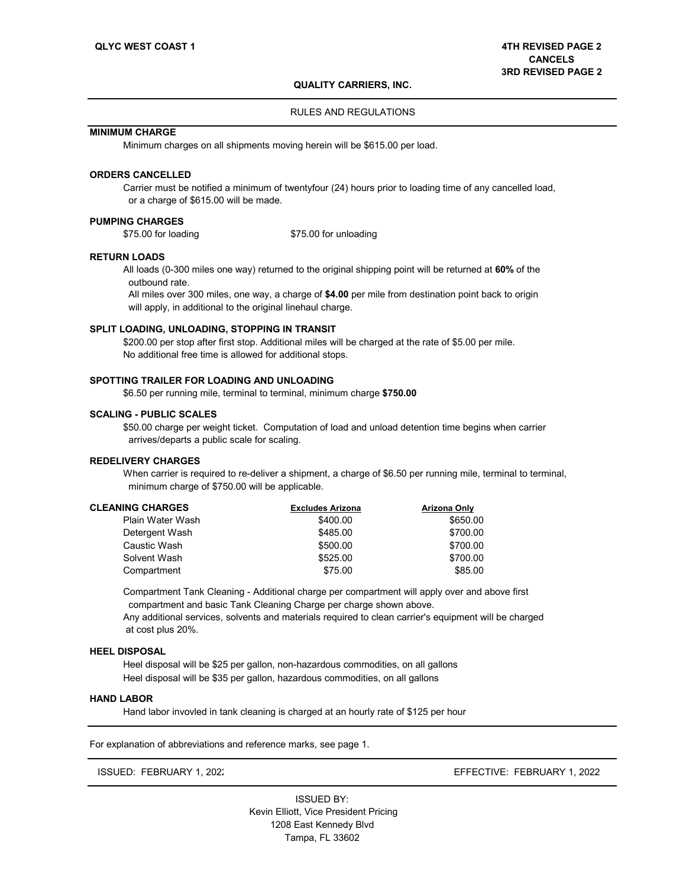#### RULES AND REGULATIONS

## **MINIMUM CHARGE**

Minimum charges on all shipments moving herein will be \$615.00 per load.

## **ORDERS CANCELLED**

Carrier must be notified a minimum of twentyfour (24) hours prior to loading time of any cancelled load, or a charge of \$615.00 will be made.

## **PUMPING CHARGES**<br>\$75.00 for loading

\$75.00 for unloading

#### **RETURN LOADS**

All loads (0-300 miles one way) returned to the original shipping point will be returned at **60%** of the outbound rate.

 All miles over 300 miles, one way, a charge of **\$4.00** per mile from destination point back to origin will apply, in additional to the original linehaul charge.

#### **SPLIT LOADING, UNLOADING, STOPPING IN TRANSIT**

\$200.00 per stop after first stop. Additional miles will be charged at the rate of \$5.00 per mile. No additional free time is allowed for additional stops.

#### **SPOTTING TRAILER FOR LOADING AND UNLOADING**

\$6.50 per running mile, terminal to terminal, minimum charge **\$750.00**

## **SCALING - PUBLIC SCALES**

\$50.00 charge per weight ticket. Computation of load and unload detention time begins when carrier arrives/departs a public scale for scaling.

### **REDELIVERY CHARGES**

When carrier is required to re-deliver a shipment, a charge of \$6.50 per running mile, terminal to terminal, minimum charge of \$750.00 will be applicable.

| <b>CLEANING CHARGES</b> | <b>Excludes Arizona</b> | Arizona Only |
|-------------------------|-------------------------|--------------|
| Plain Water Wash        | \$400.00                | \$650.00     |
| Detergent Wash          | \$485.00                | \$700.00     |
| Caustic Wash            | \$500.00                | \$700.00     |
| Solvent Wash            | \$525.00                | \$700.00     |
| Compartment             | \$75.00                 | \$85.00      |

Compartment Tank Cleaning - Additional charge per compartment will apply over and above first compartment and basic Tank Cleaning Charge per charge shown above.

Any additional services, solvents and materials required to clean carrier's equipment will be charged at cost plus 20%.

#### **HEEL DISPOSAL**

Heel disposal will be \$25 per gallon, non-hazardous commodities, on all gallons Heel disposal will be \$35 per gallon, hazardous commodities, on all gallons

#### **HAND LABOR**

Hand labor invovled in tank cleaning is charged at an hourly rate of \$125 per hour

For explanation of abbreviations and reference marks, see page 1.

ISSUED: FEBRUARY 1, 2022 EFFECTIVE: FEBRUARY 1, 2022

Tampa, FL 33602 ISSUED BY: Kevin Elliott, Vice President Pricing 1208 East Kennedy Blvd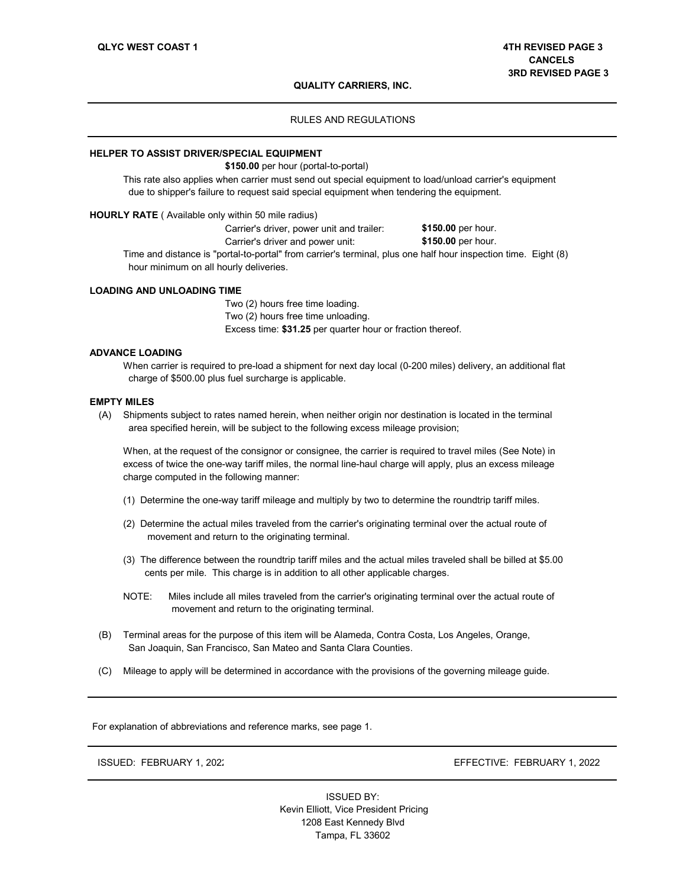## RULES AND REGULATIONS

#### **HELPER TO ASSIST DRIVER/SPECIAL EQUIPMENT**

**\$150.00** per hour (portal-to-portal)

This rate also applies when carrier must send out special equipment to load/unload carrier's equipment due to shipper's failure to request said special equipment when tendering the equipment.

## **HOURLY RATE** ( Available only within 50 mile radius)

Carrier's driver, power unit and trailer: \$150.00 per hour.<br>Carrier's driver and power unit: \$150.00 per hour. Carrier's driver and power unit:

Time and distance is "portal-to-portal" from carrier's terminal, plus one half hour inspection time. Eight (8) hour minimum on all hourly deliveries.

#### **LOADING AND UNLOADING TIME**

Two (2) hours free time loading. Two (2) hours free time unloading. Excess time: **\$31.25** per quarter hour or fraction thereof.

#### **ADVANCE LOADING**

When carrier is required to pre-load a shipment for next day local (0-200 miles) delivery, an additional flat charge of \$500.00 plus fuel surcharge is applicable.

#### **EMPTY MILES**

(A) Shipments subject to rates named herein, when neither origin nor destination is located in the terminal area specified herein, will be subject to the following excess mileage provision;

When, at the request of the consignor or consignee, the carrier is required to travel miles (See Note) in excess of twice the one-way tariff miles, the normal line-haul charge will apply, plus an excess mileage charge computed in the following manner:

- (1) Determine the one-way tariff mileage and multiply by two to determine the roundtrip tariff miles.
- (2) Determine the actual miles traveled from the carrier's originating terminal over the actual route of movement and return to the originating terminal.
- (3) The difference between the roundtrip tariff miles and the actual miles traveled shall be billed at \$5.00 cents per mile. This charge is in addition to all other applicable charges.
- NOTE: Miles include all miles traveled from the carrier's originating terminal over the actual route of movement and return to the originating terminal.
- (B) Terminal areas for the purpose of this item will be Alameda, Contra Costa, Los Angeles, Orange, San Joaquin, San Francisco, San Mateo and Santa Clara Counties.
- (C) Mileage to apply will be determined in accordance with the provisions of the governing mileage guide.

For explanation of abbreviations and reference marks, see page 1.

ISSUED: FEBRUARY 1, 2022

EFFECTIVE: FEBRUARY 1, 2022

 Kevin Elliott, Vice President Pricing 1208 East Kennedy Blvd Tampa, FL 33602 ISSUED BY: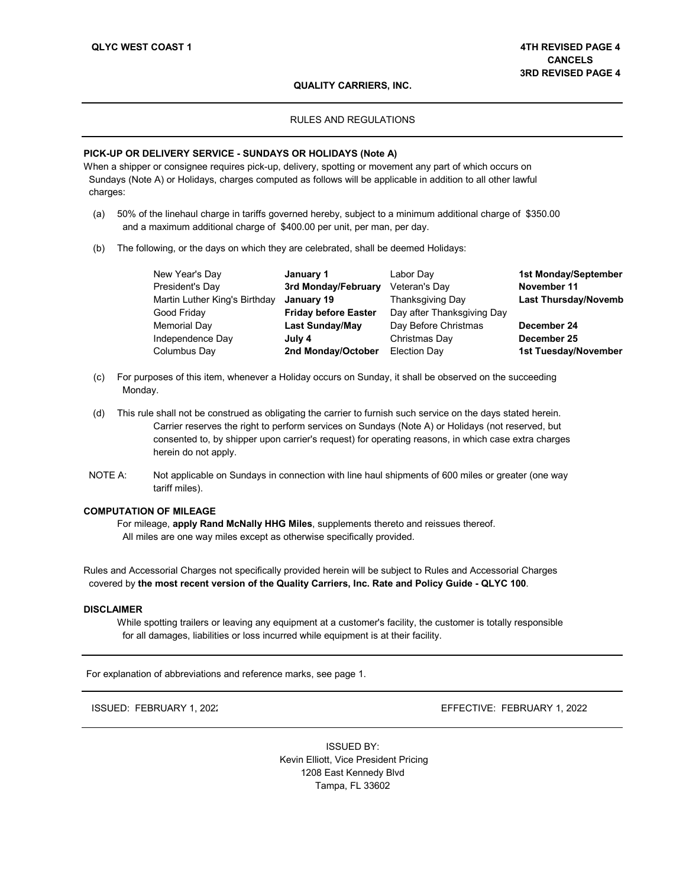#### RULES AND REGULATIONS

#### **PICK-UP OR DELIVERY SERVICE - SUNDAYS OR HOLIDAYS (Note A)**

When a shipper or consignee requires pick-up, delivery, spotting or movement any part of which occurs on Sundays (Note A) or Holidays, charges computed as follows will be applicable in addition to all other lawful charges:

- (a) 50% of the linehaul charge in tariffs governed hereby, subject to a minimum additional charge of \$350.00 and a maximum additional charge of \$400.00 per unit, per man, per day.
- (b) The following, or the days on which they are celebrated, shall be deemed Holidays:

| New Year's Day                | January 1                   | Labor Day                  | 1st Monday/September        |
|-------------------------------|-----------------------------|----------------------------|-----------------------------|
| President's Day               | 3rd Monday/February         | Veteran's Day              | November 11                 |
| Martin Luther King's Birthday | January 19                  | <b>Thanksgiving Day</b>    | <b>Last Thursday/Novemb</b> |
| Good Friday                   | <b>Friday before Easter</b> | Day after Thanksgiving Day |                             |
| Memorial Day                  | <b>Last Sunday/May</b>      | Day Before Christmas       | December 24                 |
| Independence Day              | July 4                      | Christmas Day              | December 25                 |
| Columbus Day                  | 2nd Monday/October          | Election Day               | 1st Tuesday/November        |

- (c) For purposes of this item, whenever a Holiday occurs on Sunday, it shall be observed on the succeeding Monday.
- (d) This rule shall not be construed as obligating the carrier to furnish such service on the days stated herein. Carrier reserves the right to perform services on Sundays (Note A) or Holidays (not reserved, but consented to, by shipper upon carrier's request) for operating reasons, in which case extra charges herein do not apply.
- NOTE A: Not applicable on Sundays in connection with line haul shipments of 600 miles or greater (one way tariff miles).

#### **COMPUTATION OF MILEAGE**

For mileage, **apply Rand McNally HHG Miles**, supplements thereto and reissues thereof. All miles are one way miles except as otherwise specifically provided.

Rules and Accessorial Charges not specifically provided herein will be subject to Rules and Accessorial Charges covered by **the most recent version of the Quality Carriers, Inc. Rate and Policy Guide - QLYC 100**.

#### **DISCLAIMER**

While spotting trailers or leaving any equipment at a customer's facility, the customer is totally responsible for all damages, liabilities or loss incurred while equipment is at their facility.

For explanation of abbreviations and reference marks, see page 1.

ISSUED: FEBRUARY 1, 2022

EFFECTIVE: FEBRUARY 1, 2022

 Kevin Elliott, Vice President Pricing 1208 East Kennedy Blvd Tampa, FL 33602 ISSUED BY: